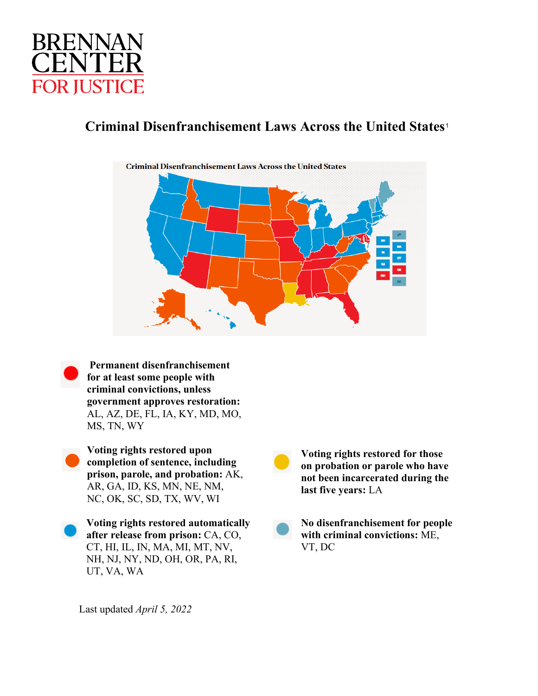

# **Criminal Disenfranchisement Laws Across the United States**[1](#page-3-0)



**Permanent disenfranchisement for at least some people with criminal convictions, unless government approves restoration:**  AL, AZ, DE, FL, IA, KY, MD, MO, MS, TN, WY

**Voting rights restored upon completion of sentence, including prison, parole, and probation:** AK, AR, GA, ID, KS, MN, NE, NM, NC, OK, SC, SD, TX, WV, WI

**Voting rights restored automatically after release from prison:** CA, CO, CT, HI, IL, IN, MA, MI, MT, NV, NH, NJ, NY, ND, OH, OR, PA, RI, UT, VA, WA

**Voting rights restored for those on probation or parole who have not been incarcerated during the last five years:** LA

**No disenfranchisement for people with criminal convictions:** ME, VT, DC

Last updated *April 5, 2022*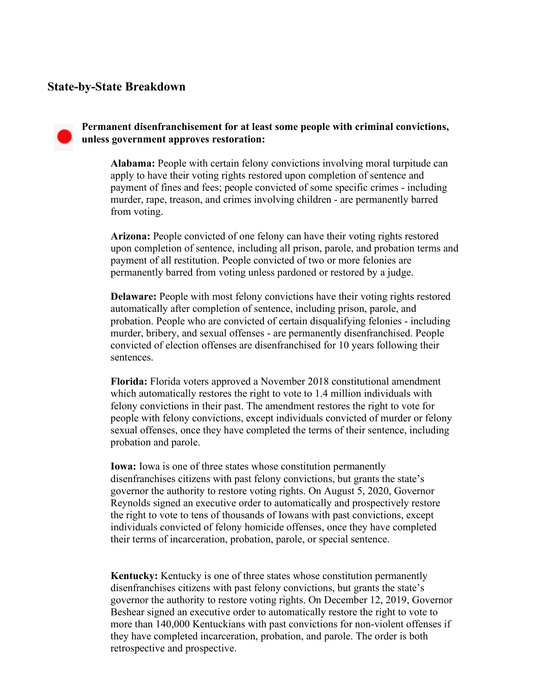## **State-by-State Breakdown**

### **Permanent disenfranchisement for at least some people with criminal convictions, unless government approves restoration:**

**Alabama:** People with certain felony convictions involving moral turpitude can apply to have their voting rights restored upon completion of sentence and payment of fines and fees; people convicted of some specific crimes - including murder, rape, treason, and crimes involving children - are permanently barred from voting.

**Arizona:** People convicted of one felony can have their voting rights restored upon completion of sentence, including all prison, parole, and probation terms and payment of all restitution. People convicted of two or more felonies are permanently barred from voting unless pardoned or restored by a judge.

**Delaware:** People with most felony convictions have their voting rights restored automatically after completion of sentence, including prison, parole, and probation. People who are convicted of certain disqualifying felonies - including murder, bribery, and sexual offenses - are permanently disenfranchised. People convicted of election offenses are disenfranchised for 10 years following their sentences.

**Florida:** Florida voters approved a November 2018 constitutional amendment which automatically restores the right to vote to 1.4 million individuals with felony convictions in their past. The amendment restores the right to vote for people with felony convictions, except individuals convicted of murder or felony sexual offenses, once they have completed the terms of their sentence, including probation and parole.

**Iowa:** Iowa is one of three states whose constitution permanently disenfranchises citizens with past felony convictions, but grants the state's governor the authority to restore voting rights. On August 5, 2020, Governor Reynolds signed an executive order to automatically and prospectively restore the right to vote to tens of thousands of Iowans with past convictions, except individuals convicted of felony homicide offenses, once they have completed their terms of incarceration, probation, parole, or special sentence.

**Kentucky:** Kentucky is one of three states whose constitution permanently disenfranchises citizens with past felony convictions, but grants the state's governor the authority to restore voting rights. On December 12, 2019, Governor Beshear signed an executive order to automatically restore the right to vote to more than 140,000 Kentuckians with past convictions for non-violent offenses if they have completed incarceration, probation, and parole. The order is both retrospective and prospective.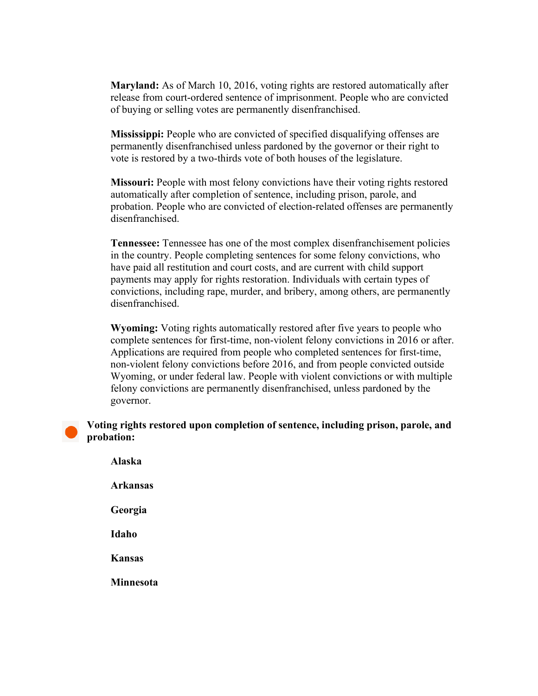**Maryland:** As of March 10, 2016, voting rights are restored automatically after release from court-ordered sentence of imprisonment. People who are convicted of buying or selling votes are permanently disenfranchised.

**Mississippi:** People who are convicted of specified disqualifying offenses are permanently disenfranchised unless pardoned by the governor or their right to vote is restored by a two-thirds vote of both houses of the legislature.

**Missouri:** People with most felony convictions have their voting rights restored automatically after completion of sentence, including prison, parole, and probation. People who are convicted of election-related offenses are permanently disenfranchised.

**Tennessee:** Tennessee has one of the most complex disenfranchisement policies in the country. People completing sentences for some felony convictions, who have paid all restitution and court costs, and are current with child support payments may apply for rights restoration. Individuals with certain types of convictions, including rape, murder, and bribery, among others, are permanently disenfranchised.

**Wyoming:** Voting rights automatically restored after five years to people who complete sentences for first-time, non-violent felony convictions in 2016 or after. Applications are required from people who completed sentences for first-time, non-violent felony convictions before 2016, and from people convicted outside Wyoming, or under federal law. People with violent convictions or with multiple felony convictions are permanently disenfranchised, unless pardoned by the governor.

#### **Voting rights restored upon completion of sentence, including prison, parole, and probation:**

**Alaska Arkansas Georgia Idaho Kansas Minnesota**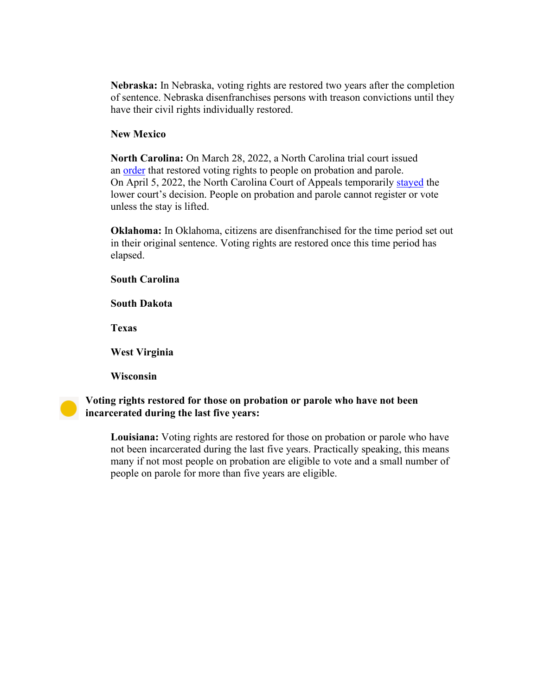**Nebraska:** In Nebraska, voting rights are restored two years after the completion of sentence. Nebraska disenfranchises persons with treason convictions until they have their civil rights individually restored.

## <span id="page-3-0"></span>**New Mexico**

**North Carolina:** On March 28, 2022, a North Carolina trial court issued an [order](https://forwardjustice.org/wp-content/uploads/2022/03/2022.03.28-Final-Judgment-and-Order-19-CVS-15941.pdf) that restored voting rights to people on probation and parole. On April 5, 2022, the North Carolina Court of Appeals temporarily [stayed](https://appellate.nccourts.org/orders.php?t=&court=2&id=400396&pdf=1&a=0&docket=1&dev=1) the lower court's decision. People on probation and parole cannot register or vote unless the stay is lifted.

**Oklahoma:** In Oklahoma, citizens are disenfranchised for the time period set out in their original sentence. Voting rights are restored once this time period has elapsed.

**South Carolina** 

**South Dakota** 

**Texas**

**West Virginia** 

**Wisconsin**

**Voting rights restored for those on probation or parole who have not been incarcerated during the last five years:**

> **Louisiana:** Voting rights are restored for those on probation or parole who have not been incarcerated during the last five years. Practically speaking, this means many if not most people on probation are eligible to vote and a small number of people on parole for more than five years are eligible.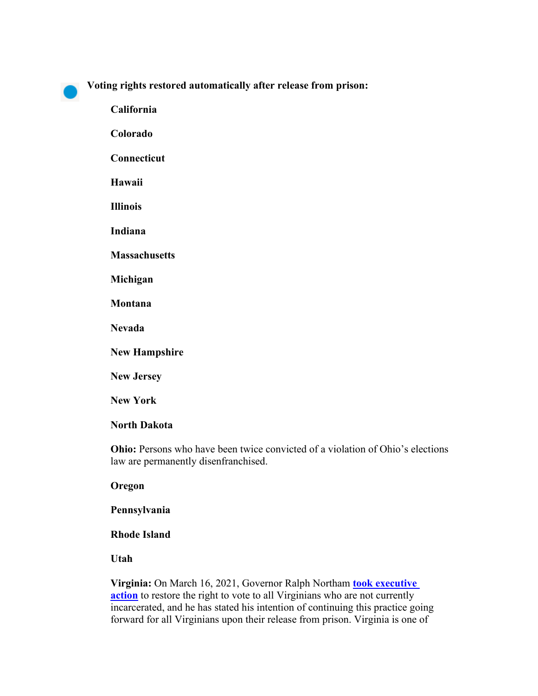**Voting rights restored automatically after release from prison:** 

**California Colorado Connecticut Hawaii Illinois Indiana Massachusetts Michigan Montana Nevada New Hampshire** 

**New Jersey** 

**New York**

## **North Dakota**

**Ohio:** Persons who have been twice convicted of a violation of Ohio's elections law are permanently disenfranchised.

**Oregon**

**Pennsylvania**

**Rhode Island**

**Utah**

**Virginia:** On March 16, 2021, Governor Ralph Northam **[took executive](https://www.governor.virginia.gov/newsroom/all-releases/2021/march/headline-893864-en.html)  [action](https://www.governor.virginia.gov/newsroom/all-releases/2021/march/headline-893864-en.html)** to restore the right to vote to all Virginians who are not currently incarcerated, and he has stated his intention of continuing this practice going forward for all Virginians upon their release from prison. Virginia is one of